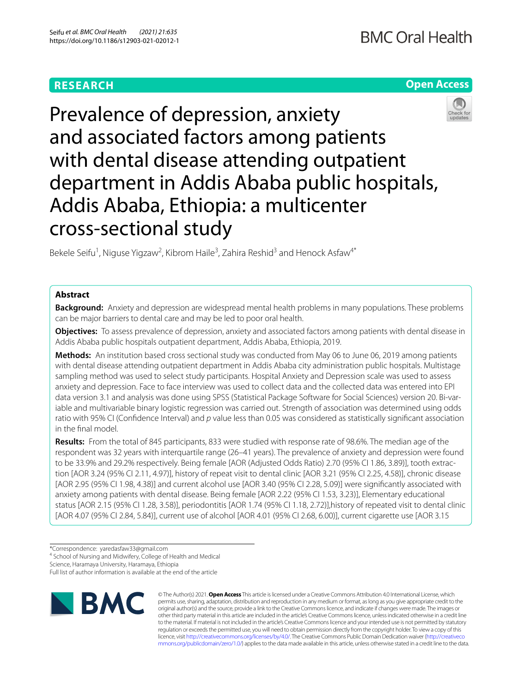# **RESEARCH**

# **Open Access**



Prevalence of depression, anxiety and associated factors among patients with dental disease attending outpatient department in Addis Ababa public hospitals, Addis Ababa, Ethiopia: a multicenter cross-sectional study

Bekele Seifu<sup>1</sup>, Niguse Yigzaw<sup>2</sup>, Kibrom Haile<sup>3</sup>, Zahira Reshid<sup>3</sup> and Henock Asfaw<sup>4\*</sup>

# **Abstract**

**Background:** Anxiety and depression are widespread mental health problems in many populations. These problems can be major barriers to dental care and may be led to poor oral health.

**Objectives:** To assess prevalence of depression, anxiety and associated factors among patients with dental disease in Addis Ababa public hospitals outpatient department, Addis Ababa, Ethiopia, 2019.

**Methods:** An institution based cross sectional study was conducted from May 06 to June 06, 2019 among patients with dental disease attending outpatient department in Addis Ababa city administration public hospitals. Multistage sampling method was used to select study participants. Hospital Anxiety and Depression scale was used to assess anxiety and depression. Face to face interview was used to collect data and the collected data was entered into EPI data version 3.1 and analysis was done using SPSS (Statistical Package Software for Social Sciences) version 20. Bi-variable and multivariable binary logistic regression was carried out. Strength of association was determined using odds ratio with 95% CI (Confdence Interval) and *p* value less than 0.05 was considered as statistically signifcant association in the fnal model.

**Results:** From the total of 845 participants, 833 were studied with response rate of 98.6%. The median age of the respondent was 32 years with interquartile range (26–41 years). The prevalence of anxiety and depression were found to be 33.9% and 29.2% respectively. Being female [AOR (Adjusted Odds Ratio) 2.70 (95% CI 1.86, 3.89)], tooth extraction [AOR 3.24 (95% CI 2.11, 4.97)], history of repeat visit to dental clinic [AOR 3.21 (95% CI 2.25, 4.58)], chronic disease [AOR 2.95 (95% CI 1.98, 4.38)] and current alcohol use [AOR 3.40 (95% CI 2.28, 5.09)] were signifcantly associated with anxiety among patients with dental disease. Being female [AOR 2.22 (95% CI 1.53, 3.23)], Elementary educational status [AOR 2.15 (95% CI 1.28, 3.58)], periodontitis [AOR 1.74 (95% CI 1.18, 2.72)],history of repeated visit to dental clinic [AOR 4.07 (95% CI 2.84, 5.84)], current use of alcohol [AOR 4.01 (95% CI 2.68, 6.00)], current cigarette use [AOR 3.15

\*Correspondence: yaredasfaw33@gmail.com

4 School of Nursing and Midwifery, College of Health and Medical

Science, Haramaya University, Haramaya, Ethiopia

Full list of author information is available at the end of the article



© The Author(s) 2021. **Open Access** This article is licensed under a Creative Commons Attribution 4.0 International License, which permits use, sharing, adaptation, distribution and reproduction in any medium or format, as long as you give appropriate credit to the original author(s) and the source, provide a link to the Creative Commons licence, and indicate if changes were made. The images or other third party material in this article are included in the article's Creative Commons licence, unless indicated otherwise in a credit line to the material. If material is not included in the article's Creative Commons licence and your intended use is not permitted by statutory regulation or exceeds the permitted use, you will need to obtain permission directly from the copyright holder. To view a copy of this licence, visit [http://creativecommons.org/licenses/by/4.0/.](http://creativecommons.org/licenses/by/4.0/) The Creative Commons Public Domain Dedication waiver ([http://creativeco](http://creativecommons.org/publicdomain/zero/1.0/) [mmons.org/publicdomain/zero/1.0/](http://creativecommons.org/publicdomain/zero/1.0/)) applies to the data made available in this article, unless otherwise stated in a credit line to the data.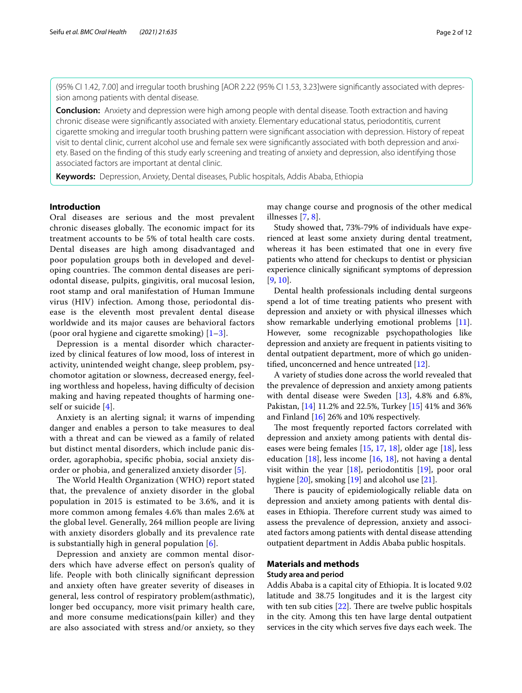(95% CI 1.42, 7.00] and irregular tooth brushing [AOR 2.22 (95% CI 1.53, 3.23]were signifcantly associated with depression among patients with dental disease.

**Conclusion:** Anxiety and depression were high among people with dental disease. Tooth extraction and having chronic disease were signifcantly associated with anxiety. Elementary educational status, periodontitis, current cigarette smoking and irregular tooth brushing pattern were signifcant association with depression. History of repeat visit to dental clinic, current alcohol use and female sex were signifcantly associated with both depression and anxiety. Based on the fnding of this study early screening and treating of anxiety and depression, also identifying those associated factors are important at dental clinic.

**Keywords:** Depression, Anxiety, Dental diseases, Public hospitals, Addis Ababa, Ethiopia

# **Introduction**

Oral diseases are serious and the most prevalent chronic diseases globally. The economic impact for its treatment accounts to be 5% of total health care costs. Dental diseases are high among disadvantaged and poor population groups both in developed and developing countries. The common dental diseases are periodontal disease, pulpits, gingivitis, oral mucosal lesion, root stamp and oral manifestation of Human Immune virus (HIV) infection. Among those, periodontal disease is the eleventh most prevalent dental disease worldwide and its major causes are behavioral factors (poor oral hygiene and cigarette smoking)  $[1-3]$  $[1-3]$ .

Depression is a mental disorder which characterized by clinical features of low mood, loss of interest in activity, unintended weight change, sleep problem, psychomotor agitation or slowness, decreased energy, feeling worthless and hopeless, having difficulty of decision making and having repeated thoughts of harming oneself or suicide [\[4](#page-10-2)].

Anxiety is an alerting signal; it warns of impending danger and enables a person to take measures to deal with a threat and can be viewed as a family of related but distinct mental disorders, which include panic disorder, agoraphobia, specifc phobia, social anxiety disorder or phobia, and generalized anxiety disorder [[5\]](#page-10-3).

The World Health Organization (WHO) report stated that, the prevalence of anxiety disorder in the global population in 2015 is estimated to be 3.6%, and it is more common among females 4.6% than males 2.6% at the global level. Generally, 264 million people are living with anxiety disorders globally and its prevalence rate is substantially high in general population [\[6](#page-10-4)].

Depression and anxiety are common mental disorders which have adverse efect on person's quality of life. People with both clinically signifcant depression and anxiety often have greater severity of diseases in general, less control of respiratory problem(asthmatic), longer bed occupancy, more visit primary health care, and more consume medications(pain killer) and they are also associated with stress and/or anxiety, so they may change course and prognosis of the other medical illnesses [\[7](#page-10-5), [8](#page-10-6)].

Study showed that, 73%-79% of individuals have experienced at least some anxiety during dental treatment, whereas it has been estimated that one in every five patients who attend for checkups to dentist or physician experience clinically signifcant symptoms of depression [[9,](#page-10-7) [10](#page-10-8)].

Dental health professionals including dental surgeons spend a lot of time treating patients who present with depression and anxiety or with physical illnesses which show remarkable underlying emotional problems [\[11](#page-10-9)]. However, some recognizable psychopathologies like depression and anxiety are frequent in patients visiting to dental outpatient department, more of which go unidentifed, unconcerned and hence untreated [\[12](#page-10-10)].

A variety of studies done across the world revealed that the prevalence of depression and anxiety among patients with dental disease were Sweden [[13](#page-10-11)], 4.8% and 6.8%, Pakistan, [\[14](#page-10-12)] 11.2% and 22.5%, Turkey [[15](#page-10-13)] 41% and 36% and Finland [[16](#page-10-14)] 26% and 10% respectively.

The most frequently reported factors correlated with depression and anxiety among patients with dental diseases were being females [[15,](#page-10-13) [17,](#page-10-15) [18\]](#page-10-16), older age [[18\]](#page-10-16), less education  $[18]$  $[18]$  $[18]$ , less income  $[16, 18]$  $[16, 18]$  $[16, 18]$  $[16, 18]$ , not having a dental visit within the year  $[18]$  $[18]$ , periodontitis  $[19]$ , poor oral hygiene [[20\]](#page-10-18), smoking [[19\]](#page-10-17) and alcohol use [[21\]](#page-10-19).

There is paucity of epidemiologically reliable data on depression and anxiety among patients with dental diseases in Ethiopia. Therefore current study was aimed to assess the prevalence of depression, anxiety and associated factors among patients with dental disease attending outpatient department in Addis Ababa public hospitals.

# **Materials and methods**

### **Study area and period**

Addis Ababa is a capital city of Ethiopia. It is located 9.02 latitude and 38.75 longitudes and it is the largest city with ten sub cities  $[22]$  $[22]$ . There are twelve public hospitals in the city. Among this ten have large dental outpatient services in the city which serves five days each week. The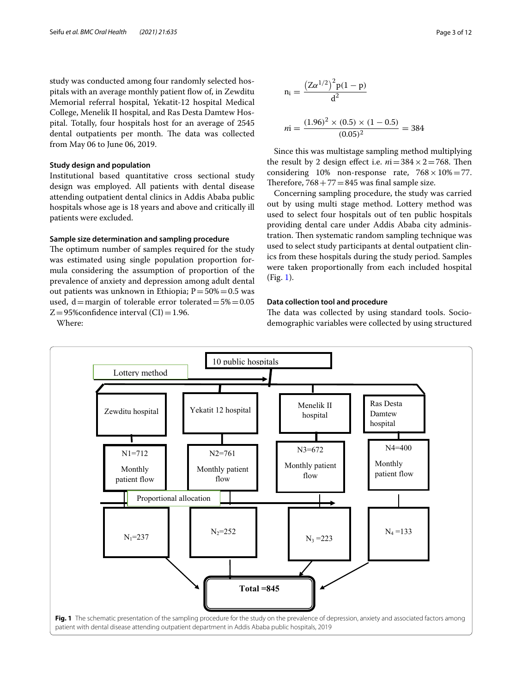study was conducted among four randomly selected hospitals with an average monthly patient fow of, in Zewditu Memorial referral hospital, Yekatit-12 hospital Medical College, Menelik II hospital, and Ras Desta Damtew Hospital. Totally, four hospitals host for an average of 2545 dental outpatients per month. The data was collected from May 06 to June 06, 2019.

#### **Study design and population**

Institutional based quantitative cross sectional study design was employed. All patients with dental disease attending outpatient dental clinics in Addis Ababa public hospitals whose age is 18 years and above and critically ill patients were excluded.

### **Sample size determination and sampling procedure**

The optimum number of samples required for the study was estimated using single population proportion formula considering the assumption of proportion of the prevalence of anxiety and depression among adult dental out patients was unknown in Ethiopia;  $P = 50\% = 0.5$  was used, d=margin of tolerable error tolerated= $5\%$ =0.05  $Z=95\%$ confidence interval (CI) = 1.96.

Where:



Since this was multistage sampling method multiplying the result by 2 design effect i.e.  $ni = 384 \times 2 = 768$ . Then considering 10% non-response rate,  $768 \times 10\% = 77$ . Therefore,  $768 + 77 = 845$  was final sample size.

Concerning sampling procedure, the study was carried out by using multi stage method. Lottery method was used to select four hospitals out of ten public hospitals providing dental care under Addis Ababa city administration. Then systematic random sampling technique was used to select study participants at dental outpatient clinics from these hospitals during the study period. Samples were taken proportionally from each included hospital (Fig. [1\)](#page-2-0).

#### **Data collection tool and procedure**

The data was collected by using standard tools. Sociodemographic variables were collected by using structured

<span id="page-2-0"></span>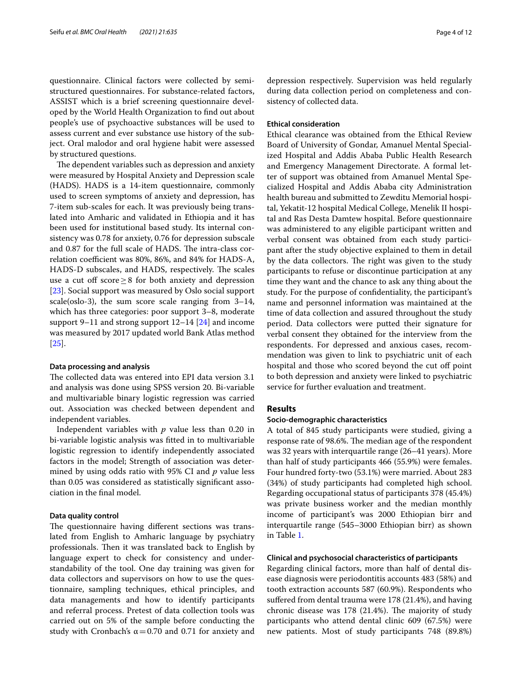questionnaire. Clinical factors were collected by semistructured questionnaires. For substance-related factors, ASSIST which is a brief screening questionnaire developed by the World Health Organization to fnd out about people's use of psychoactive substances will be used to assess current and ever substance use history of the subject. Oral malodor and oral hygiene habit were assessed by structured questions.

The dependent variables such as depression and anxiety were measured by Hospital Anxiety and Depression scale (HADS). HADS is a 14-item questionnaire, commonly used to screen symptoms of anxiety and depression, has 7-item sub-scales for each. It was previously being translated into Amharic and validated in Ethiopia and it has been used for institutional based study. Its internal consistency was 0.78 for anxiety, 0.76 for depression subscale and 0.87 for the full scale of HADS. The intra-class correlation coefficient was 80%, 86%, and 84% for HADS-A, HADS-D subscales, and HADS, respectively. The scales use a cut off score  $\geq$ 8 for both anxiety and depression [[23\]](#page-11-0). Social support was measured by Oslo social support scale(oslo-3), the sum score scale ranging from 3–14, which has three categories: poor support 3–8, moderate support 9–11 and strong support 12–14 [[24\]](#page-11-1) and income was measured by 2017 updated world Bank Atlas method [[25\]](#page-11-2).

#### **Data processing and analysis**

The collected data was entered into EPI data version 3.1 and analysis was done using SPSS version 20. Bi-variable and multivariable binary logistic regression was carried out. Association was checked between dependent and independent variables.

Independent variables with *p* value less than 0.20 in bi-variable logistic analysis was ftted in to multivariable logistic regression to identify independently associated factors in the model; Strength of association was determined by using odds ratio with 95% CI and *p* value less than 0.05 was considered as statistically signifcant association in the fnal model.

# **Data quality control**

The questionnaire having different sections was translated from English to Amharic language by psychiatry professionals. Then it was translated back to English by language expert to check for consistency and understandability of the tool. One day training was given for data collectors and supervisors on how to use the questionnaire, sampling techniques, ethical principles, and data managements and how to identify participants and referral process. Pretest of data collection tools was carried out on 5% of the sample before conducting the study with Cronbach's  $\alpha$  = 0.70 and 0.71 for anxiety and depression respectively. Supervision was held regularly during data collection period on completeness and consistency of collected data.

### **Ethical consideration**

Ethical clearance was obtained from the Ethical Review Board of University of Gondar, Amanuel Mental Specialized Hospital and Addis Ababa Public Health Research and Emergency Management Directorate. A formal letter of support was obtained from Amanuel Mental Specialized Hospital and Addis Ababa city Administration health bureau and submitted to Zewditu Memorial hospital, Yekatit-12 hospital Medical College, Menelik II hospital and Ras Desta Damtew hospital. Before questionnaire was administered to any eligible participant written and verbal consent was obtained from each study participant after the study objective explained to them in detail by the data collectors. The right was given to the study participants to refuse or discontinue participation at any time they want and the chance to ask any thing about the study. For the purpose of confdentiality, the participant's name and personnel information was maintained at the time of data collection and assured throughout the study period. Data collectors were putted their signature for verbal consent they obtained for the interview from the respondents. For depressed and anxious cases, recommendation was given to link to psychiatric unit of each hospital and those who scored beyond the cut off point to both depression and anxiety were linked to psychiatric service for further evaluation and treatment.

## **Results**

## **Socio‑demographic characteristics**

A total of 845 study participants were studied, giving a response rate of 98.6%. The median age of the respondent was 32 years with interquartile range (26–41 years). More than half of study participants 466 (55.9%) were females. Four hundred forty-two (53.1%) were married. About 283 (34%) of study participants had completed high school. Regarding occupational status of participants 378 (45.4%) was private business worker and the median monthly income of participant's was 2000 Ethiopian birr and interquartile range (545–3000 Ethiopian birr) as shown in Table [1.](#page-4-0)

# **Clinical and psychosocial characteristics of participants**

Regarding clinical factors, more than half of dental disease diagnosis were periodontitis accounts 483 (58%) and tooth extraction accounts 587 (60.9%). Respondents who sufered from dental trauma were 178 (21.4%), and having chronic disease was 178 (21.4%). The majority of study participants who attend dental clinic 609 (67.5%) were new patients. Most of study participants 748 (89.8%)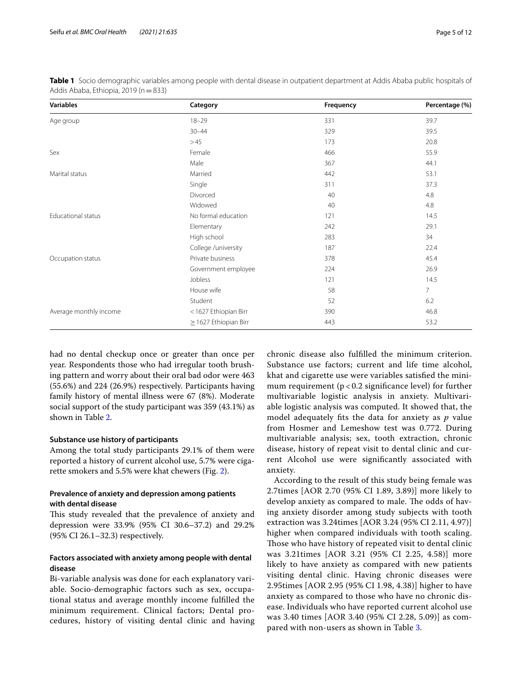| $18 - 29$ |                                                                                                                                                                                                                                                                                                 |             |
|-----------|-------------------------------------------------------------------------------------------------------------------------------------------------------------------------------------------------------------------------------------------------------------------------------------------------|-------------|
|           | 331                                                                                                                                                                                                                                                                                             | 39.7        |
|           | 329                                                                                                                                                                                                                                                                                             | 39.5        |
|           | 173                                                                                                                                                                                                                                                                                             | 20.8        |
|           | 466                                                                                                                                                                                                                                                                                             | 55.9        |
|           | 367                                                                                                                                                                                                                                                                                             | 44.1        |
|           | 442                                                                                                                                                                                                                                                                                             | 53.1        |
|           | 311                                                                                                                                                                                                                                                                                             | 37.3        |
|           | 40                                                                                                                                                                                                                                                                                              | 4.8         |
|           | 40                                                                                                                                                                                                                                                                                              | 4.8         |
|           | 121                                                                                                                                                                                                                                                                                             | 14.5        |
|           | 242                                                                                                                                                                                                                                                                                             | 29.1        |
|           | 283                                                                                                                                                                                                                                                                                             | 34          |
|           | 187                                                                                                                                                                                                                                                                                             | 22.4        |
|           | 378                                                                                                                                                                                                                                                                                             | 45.4        |
|           | 224                                                                                                                                                                                                                                                                                             | 26.9        |
|           | 121                                                                                                                                                                                                                                                                                             | 14.5        |
|           | 58                                                                                                                                                                                                                                                                                              | $7^{\circ}$ |
|           | 52                                                                                                                                                                                                                                                                                              | 6.2         |
|           | 390                                                                                                                                                                                                                                                                                             | 46.8        |
|           | 443                                                                                                                                                                                                                                                                                             | 53.2        |
|           | $30 - 44$<br>>45<br>Female<br>Male<br>Married<br>Single<br>Divorced<br>Widowed<br>No formal education<br>Elementary<br>High school<br>College / university<br>Private business<br>Government employee<br>Jobless<br>House wife<br>Student<br><1627 Ethiopian Birr<br>$\geq$ 1627 Ethiopian Birr |             |

<span id="page-4-0"></span>**Table 1** Socio demographic variables among people with dental disease in outpatient department at Addis Ababa public hospitals of Addis Ababa, Ethiopia, 2019 (n=833)

had no dental checkup once or greater than once per year. Respondents those who had irregular tooth brushing pattern and worry about their oral bad odor were 463 (55.6%) and 224 (26.9%) respectively. Participants having family history of mental illness were 67 (8%). Moderate social support of the study participant was 359 (43.1%) as shown in Table [2.](#page-5-0)

## **Substance use history of participants**

Among the total study participants 29.1% of them were reported a history of current alcohol use, 5.7% were cigarette smokers and 5.5% were khat chewers (Fig. [2](#page-5-1)).

# **Prevalence of anxiety and depression among patients with dental disease**

This study revealed that the prevalence of anxiety and depression were 33.9% (95% CI 30.6–37.2) and 29.2% (95% CI 26.1–32.3) respectively.

# **Factors associated with anxiety among people with dental disease**

Bi-variable analysis was done for each explanatory variable. Socio-demographic factors such as sex, occupational status and average monthly income fulflled the minimum requirement. Clinical factors; Dental procedures, history of visiting dental clinic and having chronic disease also fulflled the minimum criterion. Substance use factors; current and life time alcohol, khat and cigarette use were variables satisfed the minimum requirement ( $p < 0.2$  significance level) for further multivariable logistic analysis in anxiety. Multivariable logistic analysis was computed. It showed that, the model adequately fts the data for anxiety as *p* value from Hosmer and Lemeshow test was 0.772. During multivariable analysis; sex, tooth extraction, chronic disease, history of repeat visit to dental clinic and current Alcohol use were signifcantly associated with anxiety.

According to the result of this study being female was 2.7times [AOR 2.70 (95% CI 1.89, 3.89)] more likely to develop anxiety as compared to male. The odds of having anxiety disorder among study subjects with tooth extraction was 3.24times [AOR 3.24 (95% CI 2.11, 4.97)] higher when compared individuals with tooth scaling. Those who have history of repeated visit to dental clinic was 3.21times [AOR 3.21 (95% CI 2.25, 4.58)] more likely to have anxiety as compared with new patients visiting dental clinic. Having chronic diseases were 2.95times [AOR 2.95 (95% CI 1.98, 4.38)] higher to have anxiety as compared to those who have no chronic disease. Individuals who have reported current alcohol use was 3.40 times [AOR 3.40 (95% CI 2.28, 5.09)] as compared with non-users as shown in Table [3](#page-6-0).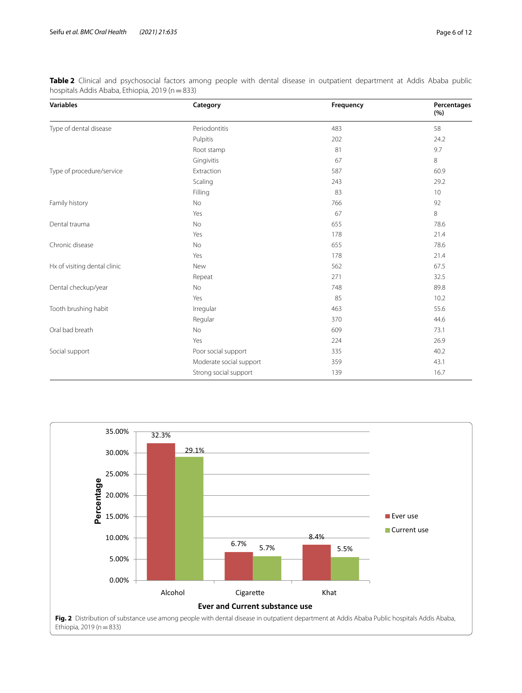| <b>Variables</b>             | Category                | Frequency | Percentages<br>(%) |  |
|------------------------------|-------------------------|-----------|--------------------|--|
| Type of dental disease       | Periodontitis           | 483       | 58                 |  |
|                              | Pulpitis                | 202       | 24.2               |  |
|                              | Root stamp              | 81        | 9.7                |  |
|                              | Gingivitis              | 67        | 8                  |  |
| Type of procedure/service    | Extraction              | 587       | 60.9               |  |
|                              | Scaling                 | 243       | 29.2               |  |
|                              | Filling                 | 83        | 10                 |  |
| Family history               | No                      | 766       | 92                 |  |
|                              | Yes                     | 67        | 8                  |  |
| Dental trauma                | No                      | 655       | 78.6               |  |
|                              | Yes                     | 178       | 21.4               |  |
| Chronic disease              | No                      | 655       | 78.6               |  |
|                              | Yes                     | 178       | 21.4               |  |
| Hx of visiting dental clinic | New                     | 562       | 67.5               |  |
|                              | Repeat                  | 271       | 32.5               |  |
| Dental checkup/year          | No                      | 748       | 89.8               |  |
|                              | Yes                     | 85        | 10.2               |  |
| Tooth brushing habit         | Irregular               | 463       | 55.6               |  |
|                              | Regular                 | 370       | 44.6               |  |
| Oral bad breath              | <b>No</b>               | 609       | 73.1               |  |
|                              | Yes                     | 224       | 26.9               |  |
| Social support               | Poor social support     | 335       | 40.2               |  |
|                              | Moderate social support | 359       | 43.1               |  |
|                              | Strong social support   | 139       | 16.7               |  |

<span id="page-5-0"></span>**Table 2** Clinical and psychosocial factors among people with dental disease in outpatient department at Addis Ababa public hospitals Addis Ababa, Ethiopia, 2019 (n=833)

<span id="page-5-1"></span>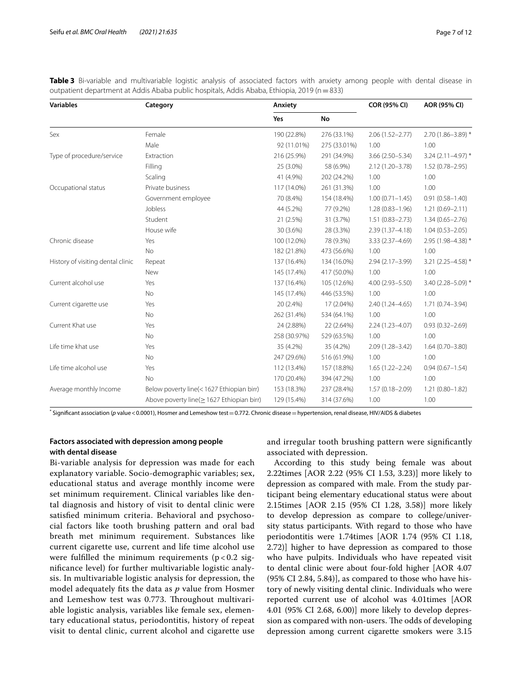| <b>Variables</b>                  | Category                                  | Anxiety      |              | <b>COR (95% CI)</b> | AOR (95% CI)         |  |
|-----------------------------------|-------------------------------------------|--------------|--------------|---------------------|----------------------|--|
|                                   |                                           | Yes          | <b>No</b>    |                     |                      |  |
| Sex                               | Female                                    | 190 (22.8%)  | 276 (33.1%)  | $2.06(1.52 - 2.77)$ | 2.70 (1.86-3.89) *   |  |
|                                   | Male                                      | 92 (11.01%)  | 275 (33.01%) | 1.00                | 1.00                 |  |
| Type of procedure/service         | Extraction                                | 216 (25.9%)  | 291 (34.9%)  | $3.66(2.50 - 5.34)$ | $3.24$ (2.11-4.97) * |  |
|                                   | Filling                                   | 25 (3.0%)    | 58 (6.9%)    | $2.12(1.20 - 3.78)$ | $1.52(0.78 - 2.95)$  |  |
|                                   | Scaling                                   | 41 (4.9%)    | 202 (24.2%)  | 1.00                | 1.00                 |  |
| Occupational status               | Private business                          | 117 (14.0%)  | 261 (31.3%)  | 1.00                | 1.00                 |  |
|                                   | Government employee                       | 70 (8.4%)    | 154 (18.4%)  | $1.00(0.71 - 1.45)$ | $0.91(0.58 - 1.40)$  |  |
|                                   | Jobless                                   | 44 (5.2%)    | 77 (9.2%)    | $1.28(0.83 - 1.96)$ | $1.21(0.69 - 2.11)$  |  |
|                                   | Student                                   | 21 (2.5%)    | 31 (3.7%)    | $1.51(0.83 - 2.73)$ | $1.34(0.65 - 2.76)$  |  |
|                                   | House wife                                | 30 (3.6%)    | 28 (3.3%)    | 2.39 (1.37-4.18)    | $1.04(0.53 - 2.05)$  |  |
| Chronic disease                   | Yes                                       | 100 (12.0%)  | 78 (9.3%)    | 3.33 (2.37-4.69)    | 2.95 (1.98-4.38) *   |  |
|                                   | No                                        | 182 (21.8%)  | 473 (56.6%)  | 1.00                | 1.00                 |  |
| History of visiting dental clinic | Repeat                                    | 137 (16.4%)  | 134 (16.0%)  | 2.94 (2.17-3.99)    | 3.21 (2.25-4.58) *   |  |
|                                   | New                                       | 145 (17.4%)  | 417 (50.0%)  | 1.00                | 1.00                 |  |
| Current alcohol use               | Yes                                       | 137 (16.4%)  | 105 (12.6%)  | $4.00(2.93 - 5.50)$ | 3.40 (2.28-5.09) *   |  |
|                                   | No                                        | 145 (17.4%)  | 446 (53.5%)  | 1.00                | 1.00                 |  |
| Current cigarette use             | Yes                                       | 20 (2.4%)    | 17 (2.04%)   | 2.40 (1.24-4.65)    | $1.71(0.74 - 3.94)$  |  |
|                                   | No                                        | 262 (31.4%)  | 534 (64.1%)  | 1.00                | 1.00                 |  |
| Current Khat use                  | Yes                                       | 24 (2.88%)   | 22 (2.64%)   | 2.24 (1.23-4.07)    | $0.93(0.32 - 2.69)$  |  |
|                                   | No                                        | 258 (30.97%) | 529 (63.5%)  | 1.00                | 1.00                 |  |
| Life time khat use                | Yes                                       | 35 (4.2%)    | 35 (4.2%)    | $2.09(1.28 - 3.42)$ | $1.64(0.70 - 3.80)$  |  |
|                                   | No                                        | 247 (29.6%)  | 516 (61.9%)  | 1.00                | 1.00                 |  |
| Life time alcohol use             | Yes                                       | 112 (13.4%)  | 157 (18.8%)  | $1.65(1.22 - 2.24)$ | $0.94(0.67 - 1.54)$  |  |
|                                   | No                                        | 170 (20.4%)  | 394 (47.2%)  | 1.00                | 1.00                 |  |
| Average monthly Income            | Below poverty line(<1627 Ethiopian birr)  | 153 (18.3%)  | 237 (28.4%)  | $1.57(0.18 - 2.09)$ | $1.21(0.80 - 1.82)$  |  |
|                                   | Above poverty line(> 1627 Ethiopian birr) | 129 (15.4%)  | 314 (37.6%)  | 1.00                | 1.00                 |  |

<span id="page-6-0"></span>**Table 3** Bi-variable and multivariable logistic analysis of associated factors with anxiety among people with dental disease in outpatient department at Addis Ababa public hospitals, Addis Ababa, Ethiopia, 2019 (n=833)

\* Signifcant association (*p* value<0.0001), Hosmer and Lemeshow test=0.772. Chronic disease=hypertension, renal disease, HIV/AIDS & diabetes

# **Factors associated with depression among people with dental disease**

Bi-variable analysis for depression was made for each explanatory variable. Socio-demographic variables; sex, educational status and average monthly income were set minimum requirement. Clinical variables like dental diagnosis and history of visit to dental clinic were satisfed minimum criteria. Behavioral and psychosocial factors like tooth brushing pattern and oral bad breath met minimum requirement. Substances like current cigarette use, current and life time alcohol use were fulfilled the minimum requirements ( $p < 0.2$  signifcance level) for further multivariable logistic analysis. In multivariable logistic analysis for depression, the model adequately fts the data as *p* value from Hosmer and Lemeshow test was 0.773. Throughout multivariable logistic analysis, variables like female sex, elementary educational status, periodontitis, history of repeat visit to dental clinic, current alcohol and cigarette use and irregular tooth brushing pattern were signifcantly associated with depression.

According to this study being female was about 2.22times [AOR 2.22 (95% CI 1.53, 3.23)] more likely to depression as compared with male. From the study participant being elementary educational status were about 2.15times [AOR 2.15 (95% CI 1.28, 3.58)] more likely to develop depression as compare to college/university status participants. With regard to those who have periodontitis were 1.74times [AOR 1.74 (95% CI 1.18, 2.72)] higher to have depression as compared to those who have pulpits. Individuals who have repeated visit to dental clinic were about four-fold higher [AOR 4.07 (95% CI 2.84, 5.84)], as compared to those who have history of newly visiting dental clinic. Individuals who were reported current use of alcohol was 4.01times [AOR 4.01 (95% CI 2.68, 6.00)] more likely to develop depression as compared with non-users. The odds of developing depression among current cigarette smokers were 3.15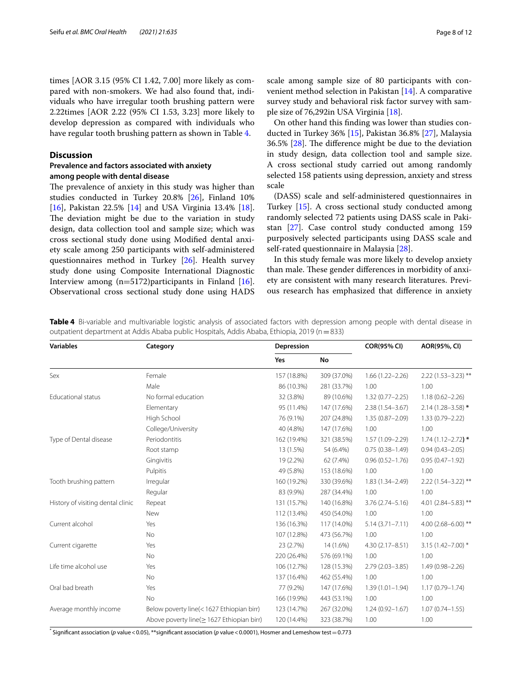times [AOR 3.15 (95% CI 1.42, 7.00] more likely as compared with non-smokers. We had also found that, individuals who have irregular tooth brushing pattern were 2.22times [AOR 2.22 (95% CI 1.53, 3.23] more likely to develop depression as compared with individuals who have regular tooth brushing pattern as shown in Table [4](#page-7-0).

## **Discussion**

# **Prevalence and factors associated with anxiety among people with dental disease**

The prevalence of anxiety in this study was higher than studies conducted in Turkey 20.8% [[26](#page-11-3)], Finland 10% [[16\]](#page-10-14), Pakistan 22.5% [[14](#page-10-12)] and USA Virginia 13.4% [\[18](#page-10-16)]. The deviation might be due to the variation in study design, data collection tool and sample size; which was cross sectional study done using Modifed dental anxiety scale among 250 participants with self-administered questionnaires method in Turkey [[26\]](#page-11-3). Health survey study done using Composite International Diagnostic Interview among  $(n=5172)$  participants in Finland [\[16](#page-10-14)]. Observational cross sectional study done using HADS scale among sample size of 80 participants with convenient method selection in Pakistan [\[14\]](#page-10-12). A comparative survey study and behavioral risk factor survey with sample size of 76,292in USA Virginia [\[18](#page-10-16)].

On other hand this fnding was lower than studies conducted in Turkey 36% [[15\]](#page-10-13), Pakistan 36.8% [[27\]](#page-11-4), Malaysia  $36.5\%$  [ $28$ ]. The difference might be due to the deviation in study design, data collection tool and sample size. A cross sectional study carried out among randomly selected 158 patients using depression, anxiety and stress scale

(DASS) scale and self-administered questionnaires in Turkey [[15](#page-10-13)]. A cross sectional study conducted among randomly selected 72 patients using DASS scale in Pakistan [[27\]](#page-11-4). Case control study conducted among 159 purposively selected participants using DASS scale and self-rated questionnaire in Malaysia [[28\]](#page-11-5).

In this study female was more likely to develop anxiety than male. These gender differences in morbidity of anxiety are consistent with many research literatures. Previous research has emphasized that diference in anxiety

<span id="page-7-0"></span>

| Table 4 Bi-variable and multivariable logistic analysis of associated factors with depression among people with dental disease in |  |  |  |  |  |  |  |
|-----------------------------------------------------------------------------------------------------------------------------------|--|--|--|--|--|--|--|
| outpatient department at Addis Ababa public Hospitals, Addis Ababa, Ethiopia, 2019 (n $=$ 833)                                    |  |  |  |  |  |  |  |

| <b>Variables</b>                  | Category                                        | Depression  |             | <b>COR(95% CI)</b>  | AOR(95%, CI)            |  |
|-----------------------------------|-------------------------------------------------|-------------|-------------|---------------------|-------------------------|--|
|                                   |                                                 | Yes         | No          |                     |                         |  |
| Sex                               | Female                                          | 157 (18.8%) | 309 (37.0%) | $1.66(1.22 - 2.26)$ | $2.22(1.53 - 3.23)$ **  |  |
|                                   | Male                                            | 86 (10.3%)  | 281 (33.7%) | 1.00                | 1.00                    |  |
| Educational status                | No formal education                             | 32 (3.8%)   | 89 (10.6%)  | $1.32(0.77 - 2.25)$ | $1.18(0.62 - 2.26)$     |  |
|                                   | Elementary                                      | 95 (11.4%)  | 147 (17.6%) | $2.38(1.54 - 3.67)$ | $2.14(1.28 - 3.58)*$    |  |
|                                   | High School                                     | 76 (9.1%)   | 207 (24.8%) | $1.35(0.87 - 2.09)$ | $1.33(0.79 - 2.22)$     |  |
|                                   | College/University                              | 40 (4.8%)   | 147 (17.6%) | 1.00                | 1.00                    |  |
| Type of Dental disease            | Periodontitis                                   | 162 (19.4%) | 321 (38.5%) | 1.57 (1.09-2.29)    | $1.74(1.12 - 2.72)*$    |  |
|                                   | Root stamp                                      | 13 (1.5%)   | 54 (6.4%)   | $0.75(0.38 - 1.49)$ | $0.94(0.43 - 2.05)$     |  |
|                                   | Gingivitis                                      | 19 (2.2%)   | 62 (7.4%)   | $0.96(0.52 - 1.76)$ | $0.95(0.47 - 1.92)$     |  |
|                                   | Pulpitis                                        | 49 (5.8%)   | 153 (18.6%) | 1.00                | 1.00                    |  |
| Tooth brushing pattern            | Irregular                                       | 160 (19.2%) | 330 (39.6%) | $1.83(1.34 - 2.49)$ | $2.22(1.54-3.22)$ **    |  |
|                                   | Regular                                         | 83 (9.9%)   | 287 (34.4%) | 1.00                | 1.00                    |  |
| History of visiting dental clinic | Repeat                                          | 131 (15.7%) | 140 (16.8%) | $3.76(2.74 - 5.16)$ | 4.01 (2.84 - 5.83) **   |  |
|                                   | New                                             | 112 (13.4%) | 450 (54.0%) | 1.00                | 1.00                    |  |
| Current alcohol                   | Yes                                             | 136 (16.3%) | 117 (14.0%) | $5.14(3.71 - 7.11)$ | 4.00 $(2.68 - 6.00)$ ** |  |
|                                   | No                                              | 107 (12.8%) | 473 (56.7%) | 1.00                | 1.00                    |  |
| Current cigarette                 | Yes                                             | 23 (2.7%)   | 14 (1.6%)   | $4.30(2.17 - 8.51)$ | $3.15(1.42 - 7.00)$ *   |  |
|                                   | <b>No</b>                                       | 220 (26.4%) | 576 (69.1%) | 1.00                | 1.00                    |  |
| Life time alcohol use             | Yes                                             | 106 (12.7%) | 128 (15.3%) | $2.79(2.03 - 3.85)$ | 1.49 (0.98-2.26)        |  |
|                                   | No                                              | 137 (16.4%) | 462 (55.4%) | 1.00                | 1.00                    |  |
| Oral bad breath                   | Yes                                             | 77 (9.2%)   | 147 (17.6%) | $1.39(1.01 - 1.94)$ | $1.17(0.79 - 1.74)$     |  |
|                                   | No                                              | 166 (19.9%) | 443 (53.1%) | 1.00                | 1.00                    |  |
| Average monthly income            | Below poverty line(<1627 Ethiopian birr)        | 123 (14.7%) | 267 (32.0%) | $1.24(0.92 - 1.67)$ | $1.07(0.74 - 1.55)$     |  |
|                                   | Above poverty line( $\geq$ 1627 Ethiopian birr) | 120 (14.4%) | 323 (38.7%) | 1.00                | 1.00                    |  |

\* Signifcant association (*p* value<0.05), \*\*signifcant association (*p* value<0.0001), Hosmer and Lemeshow test=0.773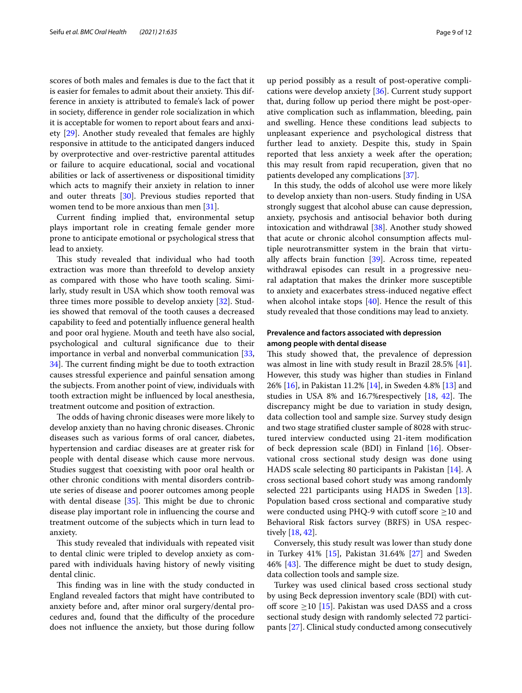scores of both males and females is due to the fact that it is easier for females to admit about their anxiety. This difference in anxiety is attributed to female's lack of power in society, diference in gender role socialization in which it is acceptable for women to report about fears and anxiety [[29](#page-11-6)]. Another study revealed that females are highly responsive in attitude to the anticipated dangers induced by overprotective and over-restrictive parental attitudes or failure to acquire educational, social and vocational abilities or lack of assertiveness or dispositional timidity which acts to magnify their anxiety in relation to inner and outer threats [[30\]](#page-11-7). Previous studies reported that women tend to be more anxious than men [[31\]](#page-11-8).

Current fnding implied that, environmental setup plays important role in creating female gender more prone to anticipate emotional or psychological stress that lead to anxiety.

This study revealed that individual who had tooth extraction was more than threefold to develop anxiety as compared with those who have tooth scaling. Similarly, study result in USA which show tooth removal was three times more possible to develop anxiety [[32\]](#page-11-9). Studies showed that removal of the tooth causes a decreased capability to feed and potentially infuence general health and poor oral hygiene. Mouth and teeth have also social, psychological and cultural signifcance due to their importance in verbal and nonverbal communication [\[33](#page-11-10), 34. The current finding might be due to tooth extraction causes stressful experience and painful sensation among the subjects. From another point of view, individuals with tooth extraction might be infuenced by local anesthesia, treatment outcome and position of extraction.

The odds of having chronic diseases were more likely to develop anxiety than no having chronic diseases. Chronic diseases such as various forms of oral cancer, diabetes, hypertension and cardiac diseases are at greater risk for people with dental disease which cause more nervous. Studies suggest that coexisting with poor oral health or other chronic conditions with mental disorders contribute series of disease and poorer outcomes among people with dental disease  $[35]$ . This might be due to chronic disease play important role in infuencing the course and treatment outcome of the subjects which in turn lead to anxiety.

This study revealed that individuals with repeated visit to dental clinic were tripled to develop anxiety as compared with individuals having history of newly visiting dental clinic.

This finding was in line with the study conducted in England revealed factors that might have contributed to anxiety before and, after minor oral surgery/dental procedures and, found that the difficulty of the procedure does not infuence the anxiety, but those during follow

up period possibly as a result of post-operative complications were develop anxiety [[36\]](#page-11-13). Current study support that, during follow up period there might be post-operative complication such as infammation, bleeding, pain and swelling. Hence these conditions lead subjects to unpleasant experience and psychological distress that further lead to anxiety. Despite this, study in Spain reported that less anxiety a week after the operation; this may result from rapid recuperation, given that no patients developed any complications [\[37\]](#page-11-14).

In this study, the odds of alcohol use were more likely to develop anxiety than non-users. Study fnding in USA strongly suggest that alcohol abuse can cause depression, anxiety, psychosis and antisocial behavior both during intoxication and withdrawal [[38\]](#page-11-15). Another study showed that acute or chronic alcohol consumption afects multiple neurotransmitter system in the brain that virtually afects brain function [\[39](#page-11-16)]. Across time, repeated withdrawal episodes can result in a progressive neural adaptation that makes the drinker more susceptible to anxiety and exacerbates stress-induced negative efect when alcohol intake stops  $[40]$  $[40]$ . Hence the result of this study revealed that those conditions may lead to anxiety.

# **Prevalence and factors associated with depression among people with dental disease**

This study showed that, the prevalence of depression was almost in line with study result in Brazil 28.5% [\[41](#page-11-18)]. However, this study was higher than studies in Finland 26% [[16\]](#page-10-14), in Pakistan 11.2% [\[14](#page-10-12)], in Sweden 4.8% [[13\]](#page-10-11) and studies in USA 8% and  $16.7%$  respectively  $[18, 42]$  $[18, 42]$  $[18, 42]$  $[18, 42]$ . The discrepancy might be due to variation in study design, data collection tool and sample size. Survey study design and two stage stratifed cluster sample of 8028 with structured interview conducted using 21-item modifcation of beck depression scale (BDI) in Finland [[16\]](#page-10-14). Observational cross sectional study design was done using HADS scale selecting 80 participants in Pakistan [\[14](#page-10-12)]. A cross sectional based cohort study was among randomly selected 221 participants using HADS in Sweden [\[13](#page-10-11)]. Population based cross sectional and comparative study were conducted using PHQ-9 with cutoff score  $\geq$ 10 and Behavioral Risk factors survey (BRFS) in USA respectively [\[18,](#page-10-16) [42](#page-11-19)].

Conversely, this study result was lower than study done in Turkey 41% [[15](#page-10-13)], Pakistan 31.64% [[27\]](#page-11-4) and Sweden 46%  $[43]$ . The difference might be duet to study design, data collection tools and sample size.

Turkey was used clinical based cross sectional study by using Beck depression inventory scale (BDI) with cutoff score  $\geq$ 10 [\[15\]](#page-10-13). Pakistan was used DASS and a cross sectional study design with randomly selected 72 participants [\[27](#page-11-4)]. Clinical study conducted among consecutively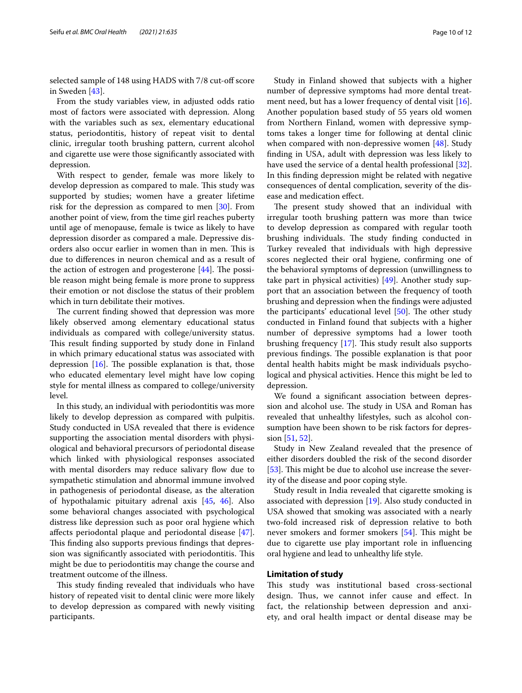selected sample of 148 using HADS with 7/8 cut-off score in Sweden [\[43](#page-11-20)].

From the study variables view, in adjusted odds ratio most of factors were associated with depression. Along with the variables such as sex, elementary educational status, periodontitis, history of repeat visit to dental clinic, irregular tooth brushing pattern, current alcohol and cigarette use were those signifcantly associated with depression.

With respect to gender, female was more likely to develop depression as compared to male. This study was supported by studies; women have a greater lifetime risk for the depression as compared to men  $[30]$  $[30]$  $[30]$ . From another point of view, from the time girl reaches puberty until age of menopause, female is twice as likely to have depression disorder as compared a male. Depressive disorders also occur earlier in women than in men. This is due to diferences in neuron chemical and as a result of the action of estrogen and progesterone  $[44]$  $[44]$ . The possible reason might being female is more prone to suppress their emotion or not disclose the status of their problem which in turn debilitate their motives.

The current finding showed that depression was more likely observed among elementary educational status individuals as compared with college/university status. This result finding supported by study done in Finland in which primary educational status was associated with depression  $[16]$  $[16]$ . The possible explanation is that, those who educated elementary level might have low coping style for mental illness as compared to college/university level.

In this study, an individual with periodontitis was more likely to develop depression as compared with pulpitis. Study conducted in USA revealed that there is evidence supporting the association mental disorders with physiological and behavioral precursors of periodontal disease which linked with physiological responses associated with mental disorders may reduce salivary flow due to sympathetic stimulation and abnormal immune involved in pathogenesis of periodontal disease, as the alteration of hypothalamic pituitary adrenal axis [\[45](#page-11-22), [46\]](#page-11-23). Also some behavioral changes associated with psychological distress like depression such as poor oral hygiene which afects periodontal plaque and periodontal disease [\[47](#page-11-24)]. This finding also supports previous findings that depression was significantly associated with periodontitis. This might be due to periodontitis may change the course and treatment outcome of the illness.

This study finding revealed that individuals who have history of repeated visit to dental clinic were more likely to develop depression as compared with newly visiting participants.

Study in Finland showed that subjects with a higher number of depressive symptoms had more dental treat-ment need, but has a lower frequency of dental visit [\[16](#page-10-14)]. Another population based study of 55 years old women from Northern Finland, women with depressive symptoms takes a longer time for following at dental clinic when compared with non-depressive women [\[48\]](#page-11-25). Study fnding in USA, adult with depression was less likely to have used the service of a dental health professional [\[32](#page-11-9)]. In this fnding depression might be related with negative consequences of dental complication, severity of the disease and medication efect.

The present study showed that an individual with irregular tooth brushing pattern was more than twice to develop depression as compared with regular tooth brushing individuals. The study finding conducted in Turkey revealed that individuals with high depressive scores neglected their oral hygiene, confrming one of the behavioral symptoms of depression (unwillingness to take part in physical activities) [\[49\]](#page-11-26). Another study support that an association between the frequency of tooth brushing and depression when the fndings were adjusted the participants' educational level  $[50]$  $[50]$ . The other study conducted in Finland found that subjects with a higher number of depressive symptoms had a lower tooth brushing frequency  $[17]$  $[17]$ . This study result also supports previous findings. The possible explanation is that poor dental health habits might be mask individuals psychological and physical activities. Hence this might be led to depression.

We found a signifcant association between depression and alcohol use. The study in USA and Roman has revealed that unhealthy lifestyles, such as alcohol consumption have been shown to be risk factors for depression [\[51](#page-11-28), [52](#page-11-29)].

Study in New Zealand revealed that the presence of either disorders doubled the risk of the second disorder [[53\]](#page-11-30). This might be due to alcohol use increase the severity of the disease and poor coping style.

Study result in India revealed that cigarette smoking is associated with depression [[19](#page-10-17)]. Also study conducted in USA showed that smoking was associated with a nearly two-fold increased risk of depression relative to both never smokers and former smokers  $[54]$  $[54]$ . This might be due to cigarette use play important role in infuencing oral hygiene and lead to unhealthy life style.

#### **Limitation of study**

This study was institutional based cross-sectional design. Thus, we cannot infer cause and effect. In fact, the relationship between depression and anxiety, and oral health impact or dental disease may be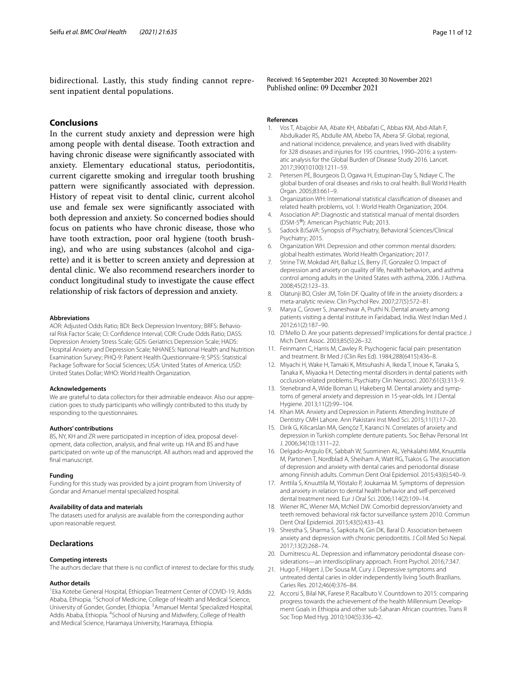bidirectional. Lastly, this study fnding cannot represent inpatient dental populations.

# **Conclusions**

In the current study anxiety and depression were high among people with dental disease. Tooth extraction and having chronic disease were signifcantly associated with anxiety. Elementary educational status, periodontitis, current cigarette smoking and irregular tooth brushing pattern were signifcantly associated with depression. History of repeat visit to dental clinic, current alcohol use and female sex were signifcantly associated with both depression and anxiety. So concerned bodies should focus on patients who have chronic disease, those who have tooth extraction, poor oral hygiene (tooth brushing), and who are using substances (alcohol and cigarette) and it is better to screen anxiety and depression at dental clinic. We also recommend researchers inorder to conduct longitudinal study to investigate the cause efect relationship of risk factors of depression and anxiety.

#### **Abbreviations**

AOR: Adjusted Odds Ratio; BDI: Beck Depression Inventory; BRFS: Behavioral Risk Factor Scale; CI: Confdence Interval; COR: Crude Odds Ratio; DASS: Depression Anxiety Stress Scale; GDS: Geriatrics Depression Scale; HADS: Hospital Anxiety and Depression Scale; NHANES: National Health and Nutrition Examination Survey; PHQ-9: Patient Health Questionnaire-9; SPSS: Statistical Package Software for Social Sciences; USA: United States of America; USD: United States Dollar; WHO: World Health Organization.

#### **Acknowledgements**

We are grateful to data collectors for their admirable endeavor. Also our appreciation goes to study participants who willingly contributed to this study by responding to the questionnaires.

#### **Authors' contributions**

BS, NY, KH and ZR were participated in inception of idea, proposal development, data collection, analysis, and fnal write up. HA and BS and have participated on write up of the manuscript. All authors read and approved the fnal manuscript.

#### **Funding**

Funding for this study was provided by a joint program from University of Gondar and Amanuel mental specialized hospital.

#### **Availability of data and materials**

The datasets used for analysis are available from the corresponding author upon reasonable request.

### **Declarations**

#### **Competing interests**

The authors declare that there is no confict of interest to declare for this study.

#### **Author details**

<sup>1</sup> Eka Kotebe General Hospital, Ethiopian Treatment Center of COVID-19, Addis Ababa, Ethiopia. <sup>2</sup> School of Medicine, College of Health and Medical Science, University of Gonder, Gonder, Ethiopia. <sup>3</sup> Amanuel Mental Specialized Hospital, Addis Ababa, Ethiopia. <sup>4</sup> School of Nursing and Midwifery, College of Health and Medical Science, Haramaya University, Haramaya, Ethiopia.

Received: 16 September 2021 Accepted: 30 November 2021<br>Published online: 09 December 2021

#### **References**

- <span id="page-10-0"></span>Vos T, Abajobir AA, Abate KH, Abbafati C, Abbas KM, Abd-Allah F, Abdulkader RS, Abdulle AM, Abebo TA, Abera SF. Global, regional, and national incidence, prevalence, and years lived with disability for 328 diseases and injuries for 195 countries, 1990–2016: a systematic analysis for the Global Burden of Disease Study 2016. Lancet. 2017;390(10100):1211–59.
- 2. Petersen PE, Bourgeois D, Ogawa H, Estupinan-Day S, Ndiaye C. The global burden of oral diseases and risks to oral health. Bull World Health Organ. 2005;83:661–9.
- <span id="page-10-1"></span>3. Organization WH: International statistical classifcation of diseases and related health problems, vol. 1: World Health Organization; 2004.
- <span id="page-10-2"></span>4. Association AP: Diagnostic and statistical manual of mental disorders (DSM-5®): American Psychiatric Pub; 2013.
- <span id="page-10-3"></span>5. Sadock BJSaVA: Synopsis of Psychiatry, Behavioral Sciences/Clinical Psychiatry; 2015.
- <span id="page-10-4"></span>6. Organization WH. Depression and other common mental disorders: global health estimates. World Health Organization; 2017.
- <span id="page-10-5"></span>7. Strine TW, Mokdad AH, Balluz LS, Berry JT, Gonzalez O. Impact of depression and anxiety on quality of life, health behaviors, and asthma control among adults in the United States with asthma, 2006. J Asthma. 2008;45(2):123–33.
- <span id="page-10-6"></span>8. Olatunji BO, Cisler JM, Tolin DF. Quality of life in the anxiety disorders: a meta-analytic review. Clin Psychol Rev. 2007;27(5):572–81.
- <span id="page-10-7"></span>9. Marya C, Grover S, Jnaneshwar A, Pruthi N. Dental anxiety among patients visiting a dental institute in Faridabad, India. West Indian Med J. 2012;61(2):187–90.
- <span id="page-10-8"></span>10. D'Mello D. Are your patients depressed? Implications for dental practice. J Mich Dent Assoc. 2003;85(5):26–32.
- <span id="page-10-9"></span>11. Feinmann C, Harris M, Cawley R. Psychogenic facial pain: presentation and treatment. Br Med J (Clin Res Ed). 1984;288(6415):436–8.
- <span id="page-10-10"></span>12. Miyachi H, Wake H, Tamaki K, Mitsuhashi A, Ikeda T, Inoue K, Tanaka S, Tanaka K, Miyaoka H. Detecting mental disorders in dental patients with occlusion-related problems. Psychiatry Clin Neurosci. 2007;61(3):313–9.
- <span id="page-10-11"></span>13. Stenebrand A, Wide Boman U, Hakeberg M. Dental anxiety and symptoms of general anxiety and depression in 15-year-olds. Int J Dental Hygiene. 2013;11(2):99–104.
- <span id="page-10-12"></span>14. Khan MA. Anxiety and Depression in Patients Attending Institute of Dentistry CMH Lahore. Ann Pakistani Inst Med Sci. 2015;11(1):17–20.
- <span id="page-10-13"></span>15. Dirik G, Kilicarslan MA, Gençöz T, Karanci N. Correlates of anxiety and depression in Turkish complete denture patients. Soc Behav Personal Int J. 2006;34(10):1311–22.
- <span id="page-10-14"></span>16. Delgado-Angulo EK, Sabbah W, Suominen AL, Vehkalahti MM, Knuuttila M, Partonen T, Nordblad A, Sheiham A, Watt RG, Tsakos G. The association of depression and anxiety with dental caries and periodontal disease among Finnish adults. Commun Dent Oral Epidemiol. 2015;43(6):540–9.
- <span id="page-10-15"></span>17. Anttila S, Knuuttila M, Ylöstalo P, Joukamaa M. Symptoms of depression and anxiety in relation to dental health behavior and self-perceived dental treatment need. Eur J Oral Sci. 2006;114(2):109–14.
- <span id="page-10-16"></span>18. Wiener RC, Wiener MA, McNeil DW. Comorbid depression/anxiety and teeth removed: behavioral risk factor surveillance system 2010. Commun Dent Oral Epidemiol. 2015;43(5):433–43.
- <span id="page-10-17"></span>19. Shrestha S, Sharma S, Sapkota N, Giri DK, Baral D. Association between anxiety and depression with chronic periodontitis. J Coll Med Sci Nepal. 2017;13(2):268–74.
- <span id="page-10-18"></span>20. Dumitrescu AL. Depression and infammatory periodontal disease considerations—an interdisciplinary approach. Front Psychol. 2016;7:347.
- <span id="page-10-19"></span>21. Hugo F, Hilgert J, De Sousa M, Cury J. Depressive symptoms and untreated dental caries in older independently living South Brazilians. Caries Res. 2012;46(4):376–84.
- <span id="page-10-20"></span>22. Accorsi S, Bilal NK, Farese P, Racalbuto V. Countdown to 2015: comparing progress towards the achievement of the health Millennium Development Goals in Ethiopia and other sub-Saharan African countries. Trans R Soc Trop Med Hyg. 2010;104(5):336–42.